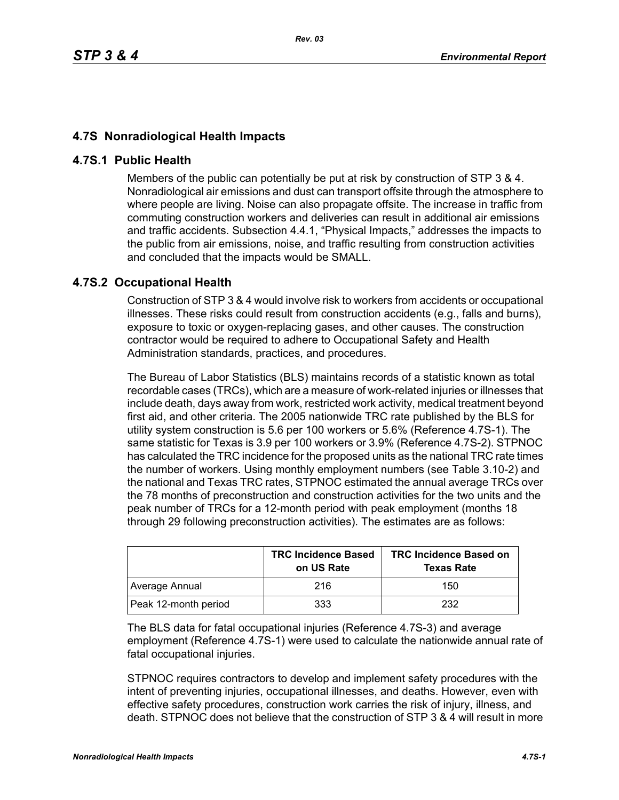## **4.7S Nonradiological Health Impacts**

## **4.7S.1 Public Health**

Members of the public can potentially be put at risk by construction of STP 3 & 4. Nonradiological air emissions and dust can transport offsite through the atmosphere to where people are living. Noise can also propagate offsite. The increase in traffic from commuting construction workers and deliveries can result in additional air emissions and traffic accidents. Subsection 4.4.1, "Physical Impacts," addresses the impacts to the public from air emissions, noise, and traffic resulting from construction activities and concluded that the impacts would be SMALL.

## **4.7S.2 Occupational Health**

Construction of STP 3 & 4 would involve risk to workers from accidents or occupational illnesses. These risks could result from construction accidents (e.g., falls and burns), exposure to toxic or oxygen-replacing gases, and other causes. The construction contractor would be required to adhere to Occupational Safety and Health Administration standards, practices, and procedures.

The Bureau of Labor Statistics (BLS) maintains records of a statistic known as total recordable cases (TRCs), which are a measure of work-related injuries or illnesses that include death, days away from work, restricted work activity, medical treatment beyond first aid, and other criteria. The 2005 nationwide TRC rate published by the BLS for utility system construction is 5.6 per 100 workers or 5.6% (Reference 4.7S-1). The same statistic for Texas is 3.9 per 100 workers or 3.9% (Reference 4.7S-2). STPNOC has calculated the TRC incidence for the proposed units as the national TRC rate times the number of workers. Using monthly employment numbers (see Table 3.10-2) and the national and Texas TRC rates, STPNOC estimated the annual average TRCs over the 78 months of preconstruction and construction activities for the two units and the peak number of TRCs for a 12-month period with peak employment (months 18 through 29 following preconstruction activities). The estimates are as follows:

|                      | <b>TRC Incidence Based</b><br>on US Rate | <b>TRC Incidence Based on</b><br><b>Texas Rate</b> |
|----------------------|------------------------------------------|----------------------------------------------------|
| Average Annual       | 216                                      | 150                                                |
| Peak 12-month period | 333                                      | 232                                                |

The BLS data for fatal occupational injuries (Reference 4.7S-3) and average employment (Reference 4.7S-1) were used to calculate the nationwide annual rate of fatal occupational injuries.

STPNOC requires contractors to develop and implement safety procedures with the intent of preventing injuries, occupational illnesses, and deaths. However, even with effective safety procedures, construction work carries the risk of injury, illness, and death. STPNOC does not believe that the construction of STP 3 & 4 will result in more